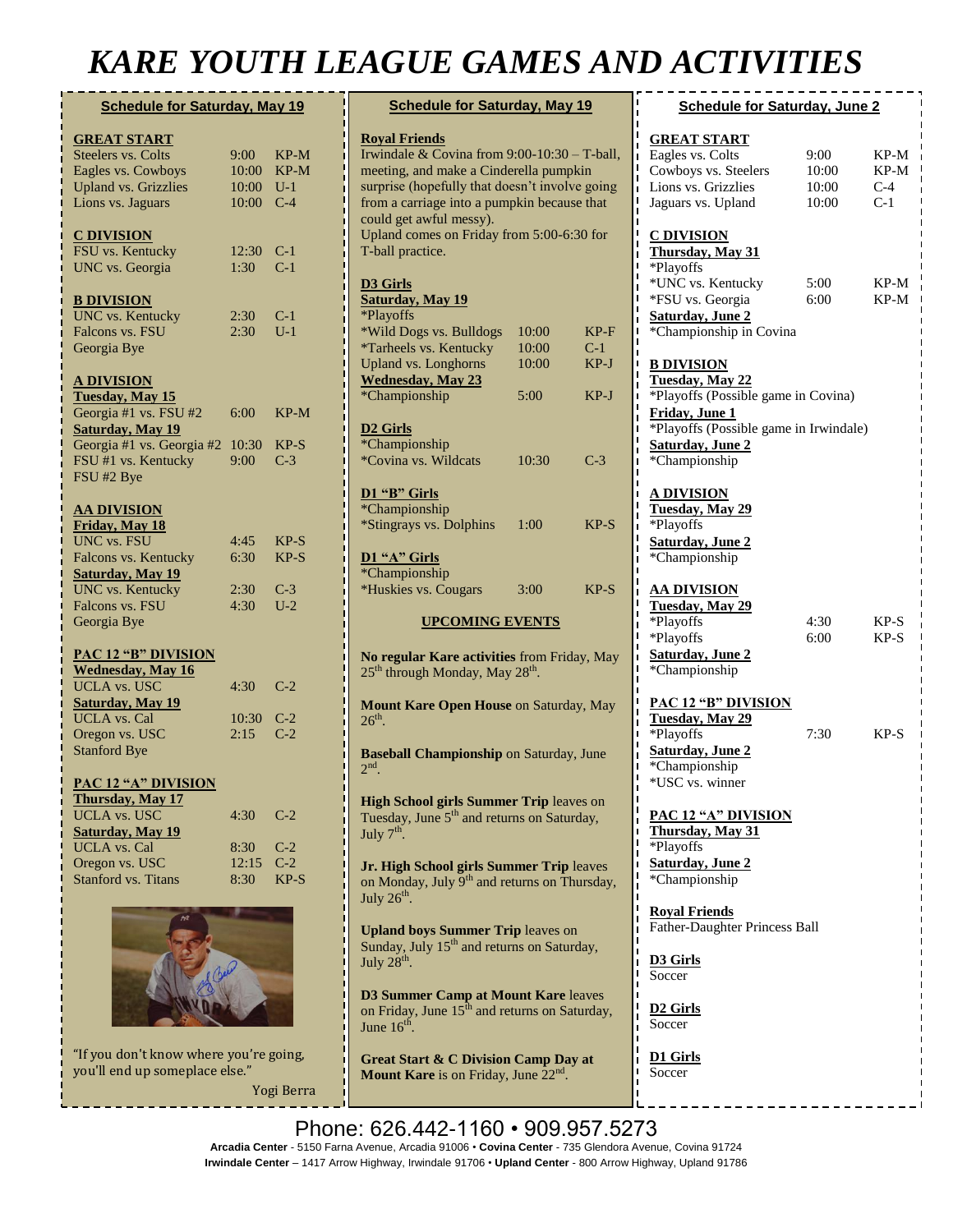# *KARE YOUTH LEAGUE GAMES AND ACTIVITIES*

| <b>Schedule for Saturday, May 19</b> |       |        |  |  |
|--------------------------------------|-------|--------|--|--|
| <b>GREAT START</b>                   |       |        |  |  |
| Steelers vs. Colts                   | 9:00  | $KP-M$ |  |  |
| Eagles vs. Cowboys                   | 10:00 | $KP-M$ |  |  |
| <b>Upland vs. Grizzlies</b>          | 10:00 | $U-1$  |  |  |
| Lions vs. Jaguars                    | 10:00 | $C-4$  |  |  |
|                                      |       |        |  |  |
| <u>C DIVISION</u>                    |       |        |  |  |
| FSU vs. Kentucky                     | 12:30 | $C-1$  |  |  |
| UNC vs. Georgia                      | 1:30  | $C-1$  |  |  |
|                                      |       |        |  |  |
| <b>B DIVISION</b>                    |       |        |  |  |
| UNC vs. Kentucky                     | 2:30  | $C-1$  |  |  |
| Falcons vs. FSU                      | 2:30  | $U-1$  |  |  |
| Georgia Bye                          |       |        |  |  |
|                                      |       |        |  |  |
| <u>A DIVISION</u>                    |       |        |  |  |
| <b>Tuesday, May 15</b>               |       |        |  |  |
| Georgia #1 vs. FSU #2                | 6:00  | $KP-M$ |  |  |
| <b>Saturday, May 19</b>              |       |        |  |  |
| Georgia #1 vs. Georgia #2            | 10:30 | $KP-S$ |  |  |
| FSU #1 vs. Kentucky                  | 9:00  | $C-3$  |  |  |
| FSU #2 Bye                           |       |        |  |  |
|                                      |       |        |  |  |
| <b>AA DIVISION</b>                   |       |        |  |  |
| Friday, May 18                       |       |        |  |  |
| UNC vs. FSU                          | 4:45  | $KP-S$ |  |  |
| Falcons vs. Kentucky                 | 6:30  | $KP-S$ |  |  |
| <b>Saturday</b> , May 19             |       |        |  |  |
| <b>UNC</b> vs. Kentucky              | 2:30  | $C-3$  |  |  |
| Falcons vs. FSU                      | 4:30  | $U-2$  |  |  |
| Georgia Bye                          |       |        |  |  |
|                                      |       |        |  |  |
| <b>PAC 12 "B" DIVISION</b>           |       |        |  |  |
| <b>Wednesday</b> , May 16            |       |        |  |  |
| <b>UCLA vs. USC</b>                  | 4:30  | C-2    |  |  |
| <b>Saturday</b> , May 19             |       |        |  |  |
| <b>UCLA</b> vs. Cal                  | 10:30 | $C-2$  |  |  |
| Oregon vs. USC                       | 2:15  | $C-2$  |  |  |
| <b>Stanford Bye</b>                  |       |        |  |  |
|                                      |       |        |  |  |
| <b>PAC 12 "A" DIVISION</b>           |       |        |  |  |
| Thursday, May 17                     |       |        |  |  |
| <b>UCLA vs. USC</b>                  | 4:30  | $C-2$  |  |  |
| <b>Saturday</b> , May 19             |       |        |  |  |
| <b>UCLA</b> vs. Cal                  | 8:30  | $C-2$  |  |  |
| Oregon vs. USC                       | 12:15 | $C-2$  |  |  |
| <b>Stanford vs. Titans</b>           | 8:30  | $KP-S$ |  |  |
|                                      |       |        |  |  |
|                                      |       |        |  |  |



"If you don't know where you're going, you'll end up someplace else."

Yogi Berra

| <b>Schedule for Saturday, May 19</b>                                                                                                                                                                                                                                                                        |                         |                         |  |  |
|-------------------------------------------------------------------------------------------------------------------------------------------------------------------------------------------------------------------------------------------------------------------------------------------------------------|-------------------------|-------------------------|--|--|
| <b>Royal Friends</b><br>Irwindale & Covina from 9:00-10:30 - T-ball,<br>meeting, and make a Cinderella pumpkin<br>surprise (hopefully that doesn't involve going<br>from a carriage into a pumpkin because that<br>could get awful messy).<br>Upland comes on Friday from 5:00-6:30 for<br>T-ball practice. |                         |                         |  |  |
| <b>D3 Girls</b><br><b>Saturday</b> , May 19<br>*Playoffs<br>*Wild Dogs vs. Bulldogs<br>*Tarheels vs. Kentucky<br><b>Upland vs. Longhorns</b><br><b>Wednesday</b> , May 23                                                                                                                                   | 10:00<br>10:00<br>10:00 | $KP-F$<br>$C-1$<br>KP-J |  |  |
| *Championship                                                                                                                                                                                                                                                                                               | 5:00                    | $KP-J$                  |  |  |
| D <sub>2</sub> Girls<br>*Championship<br>*Covina vs. Wildcats<br>D1 "B" Girls<br>*Championship<br><i>*Stingrays vs. Dolphins</i>                                                                                                                                                                            | 10:30<br>1:00           | $C-3$<br>$KP-S$         |  |  |
| D1 "A" Girls<br>*Championship<br>*Huskies vs. Cougars                                                                                                                                                                                                                                                       | 3:00                    | $KP-S$                  |  |  |
| <b>UPCOMING EVENTS</b>                                                                                                                                                                                                                                                                                      |                         |                         |  |  |
| No regular Kare activities from Friday, May<br>25 <sup>th</sup> through Monday, May 28 <sup>th</sup> .<br>Mount Kare Open House on Saturday, May                                                                                                                                                            |                         |                         |  |  |
| $26th$ .                                                                                                                                                                                                                                                                                                    |                         |                         |  |  |
| <b>Baseball Championship on Saturday, June</b><br>$2nd$ .                                                                                                                                                                                                                                                   |                         |                         |  |  |
| <b>High School girls Summer Trip leaves on</b><br>Tuesday, June 5 <sup>th</sup> and returns on Saturday,<br>July 7 <sup>th</sup>                                                                                                                                                                            |                         |                         |  |  |
| Jr. High School girls Summer Trip leaves<br>on Monday, July 9 <sup>th</sup> and returns on Thursday,<br>July $26^{\text{th}}$ .                                                                                                                                                                             |                         |                         |  |  |
| <b>Upland boys Summer Trip leaves on</b><br>Sunday, July 15 <sup>th</sup> and returns on Saturday,<br>July 28 <sup>th</sup> .                                                                                                                                                                               |                         |                         |  |  |

**D3 Summer Camp at Mount Kare** leaves on Friday, June  $15^{\text{th}}$  and returns on Saturday, June  $16^{\text{th}}$ .

**Great Start & C Division Camp Day at**  Mount Kare is on Friday, June 22<sup>nd</sup>.

**A & B Division Camp at Mount Kare** from

| <b>Schedule for Saturday, June 2</b>                                                                                                                                                |                                 |                                |  |  |
|-------------------------------------------------------------------------------------------------------------------------------------------------------------------------------------|---------------------------------|--------------------------------|--|--|
| <b>GREAT START</b>                                                                                                                                                                  |                                 |                                |  |  |
| Eagles vs. Colts<br>Cowboys vs. Steelers<br>Lions vs. Grizzlies<br>Jaguars vs. Upland                                                                                               | 9:00<br>10:00<br>10:00<br>10:00 | KP-M<br>KP-M<br>$C-4$<br>$C-1$ |  |  |
| <b>C DIVISION</b><br>Thursday, May 31<br>*Playoffs<br>*UNC vs. Kentucky<br>*FSU vs. Georgia<br><b>Saturday</b> , June 2<br>*Championship in Covina                                  | 5:00<br>6:00                    | KP-M<br>KP-M                   |  |  |
| <b>B DIVISION</b><br>Tuesday, May 22<br>*Playoffs (Possible game in Covina)<br>Friday, June 1<br>*Playoffs (Possible game in Irwindale)<br><b>Saturday, June 2</b><br>*Championship |                                 |                                |  |  |
| <u>A DIVISION</u><br>Tuesday, May 29<br>*Playoffs<br><b>Saturday</b> , June 2<br>*Championship                                                                                      |                                 |                                |  |  |
| <u>AA DIVISION</u><br>Tuesday, May 29<br>*Playoffs<br>*Playoffs<br><b>Saturday</b> , June 2<br>*Championship                                                                        | 4:30<br>6:00                    | $KP-S$<br>$KP-S$               |  |  |
| <b>PAC 12 "B" DIVISION</b><br>Tuesday, May 29<br>*Playoffs<br><b>Saturday</b> , June 2<br>*Championship<br>*USC vs. winner                                                          | 7:30                            | KP-S                           |  |  |
| <b>PAC 12 "A" DIVISION</b><br>Thursday, May 31<br>*Playoffs<br><u>Saturday, June 2</u><br>*Championship                                                                             |                                 |                                |  |  |
| <b>Royal Friends</b><br>Father-Daughter Princess Ball                                                                                                                               |                                 |                                |  |  |
| <b>D3 Girls</b><br>Soccer                                                                                                                                                           |                                 |                                |  |  |
| <u>D2 Girls</u><br>Soccer                                                                                                                                                           |                                 |                                |  |  |
| $\mathbf{D1}$ Cirk                                                                                                                                                                  |                                 |                                |  |  |

**D1 Girls Soccer** 

Phone: 626.442-1160 · 909.957.5273 **Arcadia Center** - 5150 Farna Avenue, Arcadia 91006 • **Covina Center** - 735 Glendora Avenue, Covina 91724 Include Center – 1417 Arrow Highway, Irwindale 91706 • Upland Center - 800 Arrow Highway, Upland 91786 Highway, inwilliade 91700 **• Opianu Center** - out